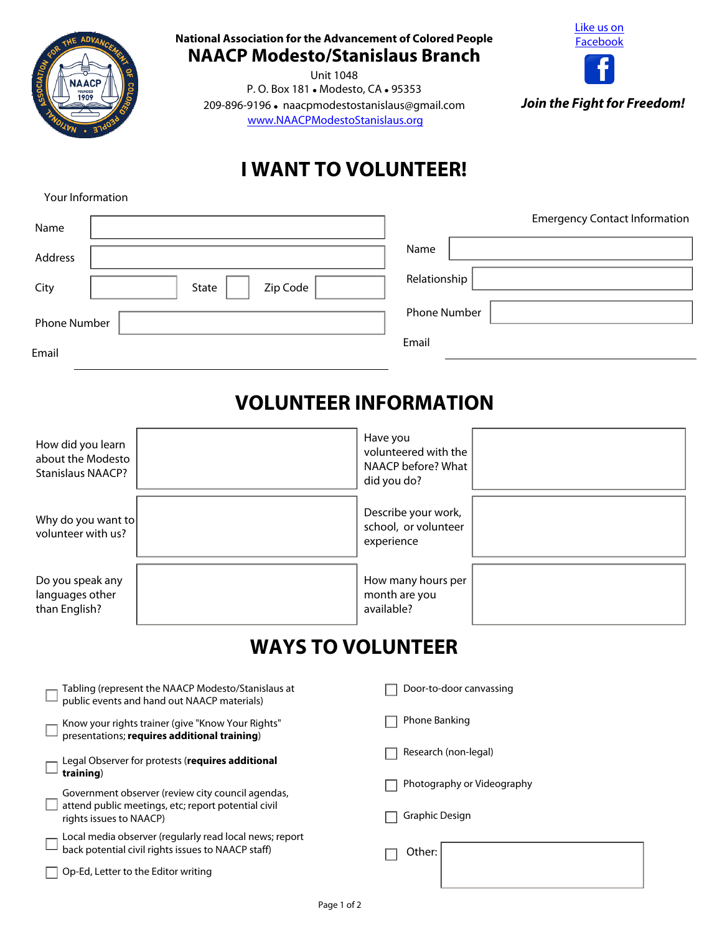

**National Association for the Advancement of Colored People NAACP Modesto/Stanislaus Branch** 

Unit 1048 P.O. Box 181 . Modesto, CA . 95353 209-896-9196 · naacpmodestostanislaus@gmail.com [www.NAACPModestoStanislaus.org](www.naacpmodestostanislaus.org)



*Join the Fight for Freedom!*

## **I WANT TO VOLUNTEER!**

Your Information

| Name         |                   | <b>Emergency Contact Information</b> |
|--------------|-------------------|--------------------------------------|
| Address      |                   | Name                                 |
| City         | Zip Code<br>State | Relationship                         |
| Phone Number |                   | <b>Phone Number</b>                  |
| Email        |                   | Email                                |

## **VOLUNTEER INFORMATION**

| How did you learn<br>about the Modesto<br><b>Stanislaus NAACP?</b> | Have you<br>volunteered with the<br>NAACP before? What<br>did you do? |  |
|--------------------------------------------------------------------|-----------------------------------------------------------------------|--|
| Why do you want to<br>volunteer with us?                           | Describe your work,<br>school, or volunteer<br>experience             |  |
| Do you speak any<br>languages other<br>than English?               | How many hours per<br>month are you<br>available?                     |  |

## **WAYS TO VOLUNTEER**

| Photography or Videography |  |
|----------------------------|--|
|                            |  |
| Graphic Design             |  |
|                            |  |
|                            |  |
|                            |  |
|                            |  |